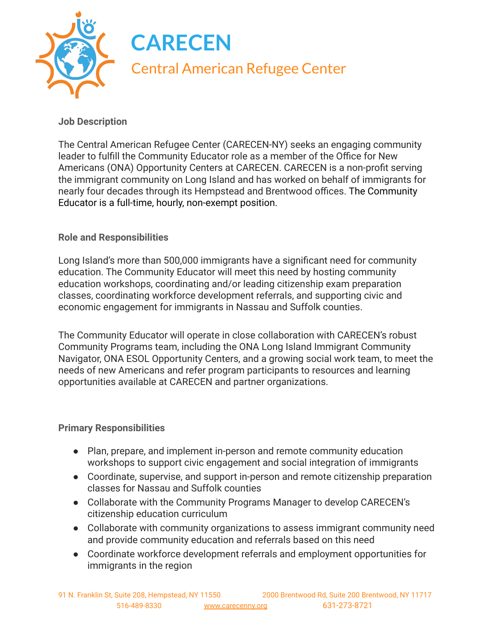

## **Job Description**

The Central American Refugee Center (CARECEN-NY) seeks an engaging community leader to fulfill the Community Educator role as a member of the Office for New Americans (ONA) Opportunity Centers at CARECEN. CARECEN is a non-profit serving the immigrant community on Long Island and has worked on behalf of immigrants for nearly four decades through its Hempstead and Brentwood offices. The Community Educator is a full-time, hourly, non-exempt position.

## **Role and Responsibilities**

Long Island's more than 500,000 immigrants have a significant need for community education. The Community Educator will meet this need by hosting community education workshops, coordinating and/or leading citizenship exam preparation classes, coordinating workforce development referrals, and supporting civic and economic engagement for immigrants in Nassau and Suffolk counties.

The Community Educator will operate in close collaboration with CARECEN's robust Community Programs team, including the ONA Long Island Immigrant Community Navigator, ONA ESOL Opportunity Centers, and a growing social work team, to meet the needs of new Americans and refer program participants to resources and learning opportunities available at CARECEN and partner organizations.

## **Primary Responsibilities**

- Plan, prepare, and implement in-person and remote community education workshops to support civic engagement and social integration of immigrants
- Coordinate, supervise, and support in-person and remote citizenship preparation classes for Nassau and Suffolk counties
- Collaborate with the Community Programs Manager to develop CARECEN's citizenship education curriculum
- Collaborate with community organizations to assess immigrant community need and provide community education and referrals based on this need
- Coordinate workforce development referrals and employment opportunities for immigrants in the region